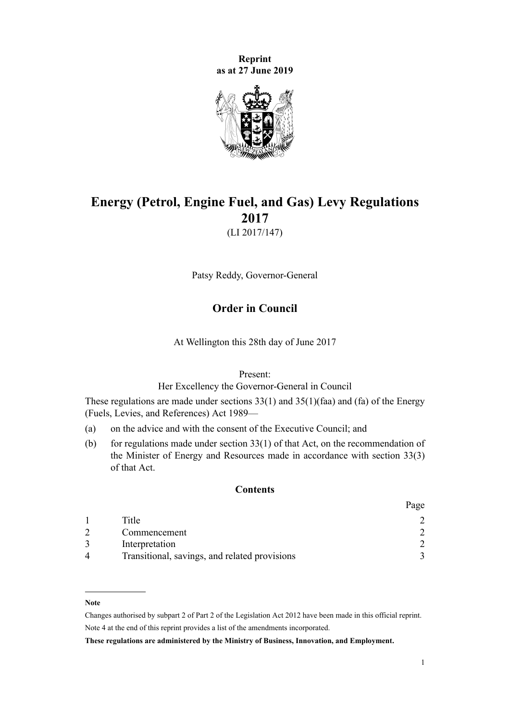**Reprint as at 27 June 2019**



# **Energy (Petrol, Engine Fuel, and Gas) Levy Regulations 2017**

(LI 2017/147)

Patsy Reddy, Governor-General

# **Order in Council**

At Wellington this 28th day of June 2017

Present:

Her Excellency the Governor-General in Council

These regulations are made under sections  $33(1)$  and  $35(1)$ (faa) and (fa) of the [Energy](http://legislation.govt.nz/pdflink.aspx?id=DLM194753) [\(Fuels, Levies, and References\) Act 1989—](http://legislation.govt.nz/pdflink.aspx?id=DLM194753)

- (a) on the advice and with the consent of the Executive Council; and
- (b) for regulations made under section  $33(1)$  of that Act, on the recommendation of the Minister of Energy and Resources made in accordance with section 33(3) of that Act.

#### **Contents**

|                        |                                               | agu |
|------------------------|-----------------------------------------------|-----|
|                        | Title                                         |     |
|                        | Commencement                                  |     |
|                        | Interpretation                                |     |
| $\boldsymbol{\Lambda}$ | Transitional, savings, and related provisions |     |

#### **Note**

Changes authorised by [subpart 2](http://legislation.govt.nz/pdflink.aspx?id=DLM2998524) of Part 2 of the Legislation Act 2012 have been made in this official reprint. Note 4 at the end of this reprint provides a list of the amendments incorporated.

**These regulations are administered by the Ministry of Business, Innovation, and Employment.**

 $D_{\alpha\alpha\alpha}$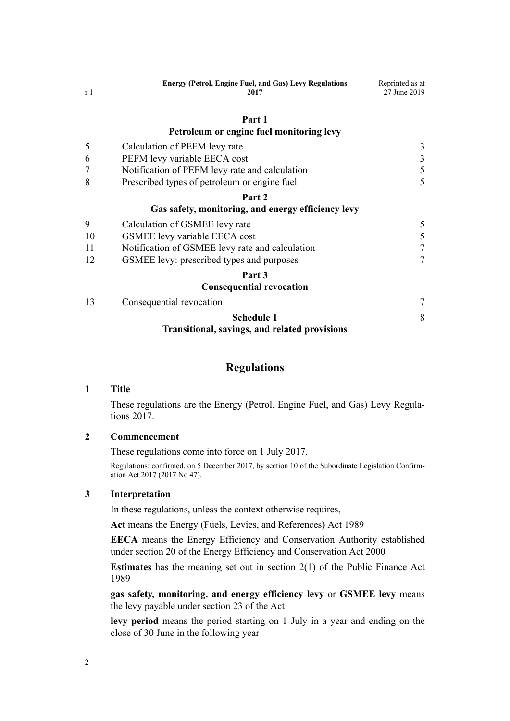<span id="page-1-0"></span>

| r <sub>1</sub> | <b>Energy (Petrol, Engine Fuel, and Gas) Levy Regulations</b><br>2017 | Reprinted as at<br>27 June 2019 |
|----------------|-----------------------------------------------------------------------|---------------------------------|
|                | Part 1                                                                |                                 |
|                | Petroleum or engine fuel monitoring levy                              |                                 |
| 5              | Calculation of PEFM levy rate                                         | 3                               |
| 6              | PEFM levy variable EECA cost                                          | $\overline{\mathbf{3}}$         |
|                | Notification of PEFM levy rate and calculation                        | 5                               |
| 8              | Prescribed types of petroleum or engine fuel                          | 5                               |
|                | Part 2                                                                |                                 |
|                | Gas safety, monitoring, and energy efficiency levy                    |                                 |
| 9              | Calculation of GSMEE levy rate                                        | 5                               |
| 10             | GSMEE levy variable EECA cost                                         | 5                               |
| 11             | Notification of GSMEE levy rate and calculation                       | 7                               |
| 12             | GSMEE levy: prescribed types and purposes                             | 7                               |
|                | Part 3                                                                |                                 |
|                | <b>Consequential revocation</b>                                       |                                 |
| 13             | Consequential revocation                                              | 7                               |
|                | <b>Schedule 1</b>                                                     | 8                               |
|                | <b>Transitional, savings, and related provisions</b>                  |                                 |

#### **Regulations**

## **1 Title**

These regulations are the Energy (Petrol, Engine Fuel, and Gas) Levy Regulations 2017.

## **2 Commencement**

These regulations come into force on 1 July 2017.

Regulations: confirmed, on 5 December 2017, by [section 10](http://legislation.govt.nz/pdflink.aspx?id=DLM7401604) of the Subordinate Legislation Confirmation Act 2017 (2017 No 47).

## **3 Interpretation**

In these regulations, unless the context otherwise requires,—

**Act** means the [Energy \(Fuels, Levies, and References\) Act 1989](http://legislation.govt.nz/pdflink.aspx?id=DLM194753)

**EECA** means the Energy Efficiency and Conservation Authority established under [section 20](http://legislation.govt.nz/pdflink.aspx?id=DLM54993) of the Energy Efficiency and Conservation Act 2000

**Estimates** has the meaning set out in [section 2\(1\)](http://legislation.govt.nz/pdflink.aspx?id=DLM160819) of the Public Finance Act 1989

**gas safety, monitoring, and energy efficiency levy** or **GSMEE levy** means the levy payable under [section 23](http://legislation.govt.nz/pdflink.aspx?id=DLM195026) of the Act

**levy period** means the period starting on 1 July in a year and ending on the close of 30 June in the following year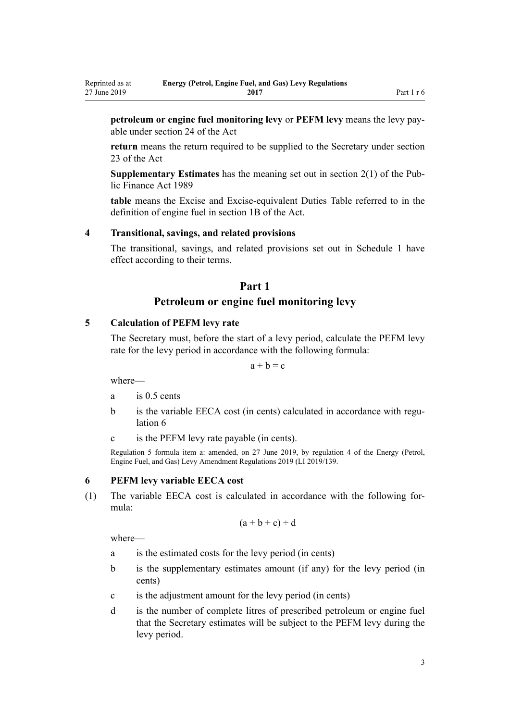**petroleum or engine fuel monitoring levy** or **PEFM levy** means the levy payable under [section 24](http://legislation.govt.nz/pdflink.aspx?id=DLM195028) of the Act

**return** means the return required to be supplied to the Secretary under [section](http://legislation.govt.nz/pdflink.aspx?id=DLM195026) [23](http://legislation.govt.nz/pdflink.aspx?id=DLM195026) of the Act

**Supplementary Estimates** has the meaning set out in [section 2\(1\)](http://legislation.govt.nz/pdflink.aspx?id=DLM160819) of the Public Finance Act 1989

**table** means the Excise and Excise-equivalent Duties Table referred to in the definition of engine fuel in [section 1B](http://legislation.govt.nz/pdflink.aspx?id=DLM1660100) of the Act.

#### **4 Transitional, savings, and related provisions**

The transitional, savings, and related provisions set out in [Schedule 1](#page-7-0) have effect according to their terms.

# **Part 1**

# **Petroleum or engine fuel monitoring levy**

#### **5 Calculation of PEFM levy rate**

The Secretary must, before the start of a levy period, calculate the PEFM levy rate for the levy period in accordance with the following formula:

 $a + b = c$ 

where—

<span id="page-2-0"></span>Reprinted as at 27 June 2019

- a is 0.5 cents
- b is the variable EECA cost (in cents) calculated in accordance with regulation 6
- c is the PEFM levy rate payable (in cents).

Regulation 5 formula item a: amended, on 27 June 2019, by [regulation 4](http://legislation.govt.nz/pdflink.aspx?id=LMS212387) of the Energy (Petrol, Engine Fuel, and Gas) Levy Amendment Regulations 2019 (LI 2019/139.

#### **6 PEFM levy variable EECA cost**

(1) The variable EECA cost is calculated in accordance with the following formula:

$$
(a+b+c) \div d
$$

where—

- a is the estimated costs for the levy period (in cents)
- b is the supplementary estimates amount (if any) for the levy period (in cents)
- c is the adjustment amount for the levy period (in cents)
- d is the number of complete litres of prescribed petroleum or engine fuel that the Secretary estimates will be subject to the PEFM levy during the levy period.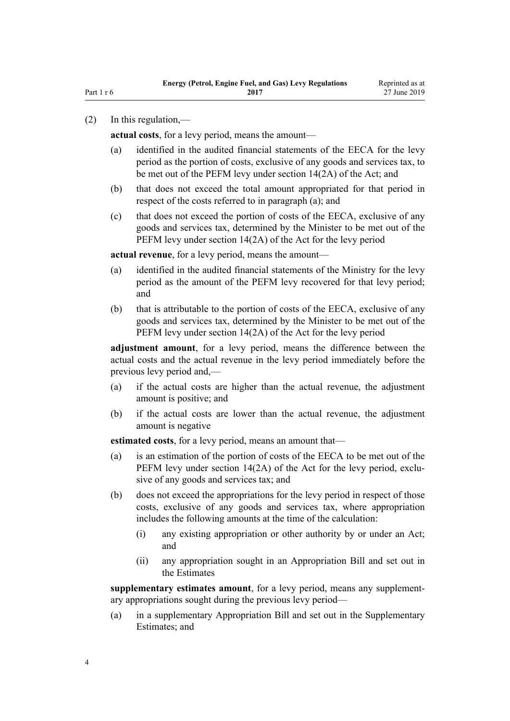#### Part 1 r 6

#### (2) In this regulation,—

**actual costs**, for a levy period, means the amount—

- (a) identified in the audited financial statements of the EECA for the levy period as the portion of costs, exclusive of any goods and services tax, to be met out of the PEFM levy under [section 14\(2A\)](http://legislation.govt.nz/pdflink.aspx?id=DLM194794) of the Act; and
- (b) that does not exceed the total amount appropriated for that period in respect of the costs referred to in paragraph (a); and
- (c) that does not exceed the portion of costs of the EECA, exclusive of any goods and services tax, determined by the Minister to be met out of the PEFM levy under [section 14\(2A\)](http://legislation.govt.nz/pdflink.aspx?id=DLM194794) of the Act for the levy period

**actual revenue**, for a levy period, means the amount—

- (a) identified in the audited financial statements of the Ministry for the levy period as the amount of the PEFM levy recovered for that levy period; and
- (b) that is attributable to the portion of costs of the EECA, exclusive of any goods and services tax, determined by the Minister to be met out of the PEFM levy under [section 14\(2A\)](http://legislation.govt.nz/pdflink.aspx?id=DLM194794) of the Act for the levy period

**adjustment amount**, for a levy period, means the difference between the actual costs and the actual revenue in the levy period immediately before the previous levy period and,—

- (a) if the actual costs are higher than the actual revenue, the adjustment amount is positive; and
- (b) if the actual costs are lower than the actual revenue, the adjustment amount is negative

**estimated costs**, for a levy period, means an amount that—

- (a) is an estimation of the portion of costs of the EECA to be met out of the PEFM levy under [section 14\(2A\)](http://legislation.govt.nz/pdflink.aspx?id=DLM194794) of the Act for the levy period, exclusive of any goods and services tax; and
- (b) does not exceed the appropriations for the levy period in respect of those costs, exclusive of any goods and services tax, where appropriation includes the following amounts at the time of the calculation:
	- (i) any existing appropriation or other authority by or under an Act; and
	- (ii) any appropriation sought in an Appropriation Bill and set out in the Estimates

**supplementary estimates amount**, for a levy period, means any supplementary appropriations sought during the previous levy period—

(a) in a supplementary Appropriation Bill and set out in the Supplementary Estimates; and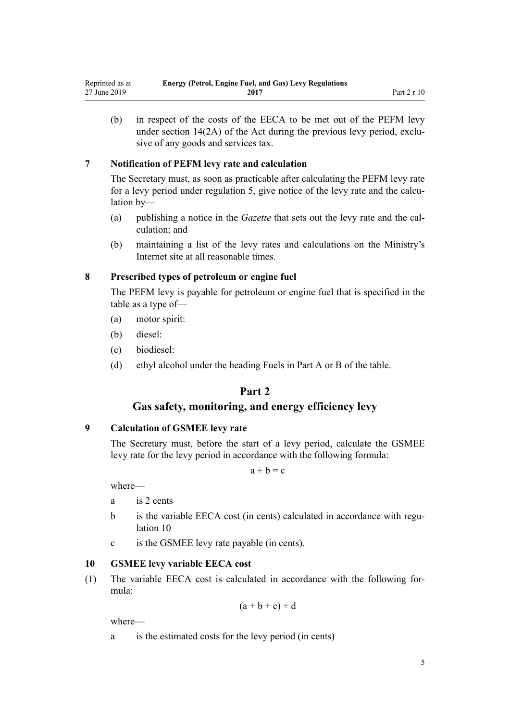<span id="page-4-0"></span>(b) in respect of the costs of the EECA to be met out of the PEFM levy under [section 14\(2A\)](http://legislation.govt.nz/pdflink.aspx?id=DLM194794) of the Act during the previous levy period, exclusive of any goods and services tax.

# **7 Notification of PEFM levy rate and calculation**

The Secretary must, as soon as practicable after calculating the PEFM levy rate for a levy period under [regulation 5,](#page-2-0) give notice of the levy rate and the calculation by—

- (a) publishing a notice in the *Gazette* that sets out the levy rate and the calculation; and
- (b) maintaining a list of the levy rates and calculations on the Ministry's Internet site at all reasonable times.

#### **8 Prescribed types of petroleum or engine fuel**

The PEFM levy is payable for petroleum or engine fuel that is specified in the table as a type of—

- (a) motor spirit:
- (b) diesel:
- (c) biodiesel:
- (d) ethyl alcohol under the heading Fuels in Part A or B of the table.

# **Part 2**

# **Gas safety, monitoring, and energy efficiency levy**

# **9 Calculation of GSMEE levy rate**

The Secretary must, before the start of a levy period, calculate the GSMEE levy rate for the levy period in accordance with the following formula:

 $a + b = c$ 

where—

- a is 2 cents
- b is the variable EECA cost (in cents) calculated in accordance with regulation 10
- c is the GSMEE levy rate payable (in cents).

#### **10 GSMEE levy variable EECA cost**

(1) The variable EECA cost is calculated in accordance with the following formula:

$$
(a+b+c) \div d
$$

where—

a is the estimated costs for the levy period (in cents)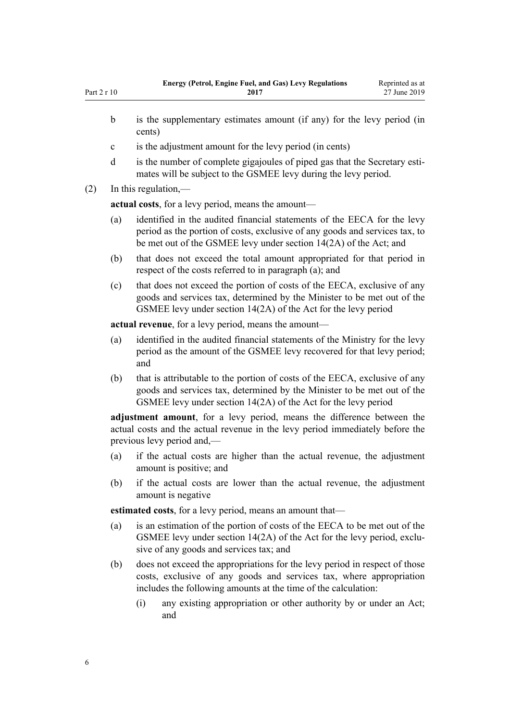| Part $2r10$ | Ence, rection Engine I acquisite Only Ect , Incommended<br>2017                                                                               | reprinted as at<br>27 June 2019 |  |  |  |
|-------------|-----------------------------------------------------------------------------------------------------------------------------------------------|---------------------------------|--|--|--|
| $\mathbf b$ | is the supplementary estimates amount (if any) for the levy period (in<br>cents)                                                              |                                 |  |  |  |
| $\mathbf c$ | is the adjustment amount for the levy period (in cents)                                                                                       |                                 |  |  |  |
| d           | is the number of complete gigajoules of piped gas that the Secretary esti-<br>mates will be subject to the GSMEE levy during the levy period. |                                 |  |  |  |
| (2)         | In this regulation,—                                                                                                                          |                                 |  |  |  |
|             | actual costs, for a levy period, means the amount-                                                                                            |                                 |  |  |  |

**Energy (Petrol, Engine Fuel, and Gas) Levy Regulations**

Reprinted as at

- (a) identified in the audited financial statements of the EECA for the levy period as the portion of costs, exclusive of any goods and services tax, to be met out of the GSMEE levy under [section 14\(2A\)](http://legislation.govt.nz/pdflink.aspx?id=DLM194794) of the Act; and
- (b) that does not exceed the total amount appropriated for that period in respect of the costs referred to in paragraph (a); and
- (c) that does not exceed the portion of costs of the EECA, exclusive of any goods and services tax, determined by the Minister to be met out of the GSMEE levy under [section 14\(2A\)](http://legislation.govt.nz/pdflink.aspx?id=DLM194794) of the Act for the levy period

**actual revenue**, for a levy period, means the amount—

- (a) identified in the audited financial statements of the Ministry for the levy period as the amount of the GSMEE levy recovered for that levy period; and
- (b) that is attributable to the portion of costs of the EECA, exclusive of any goods and services tax, determined by the Minister to be met out of the GSMEE levy under [section 14\(2A\)](http://legislation.govt.nz/pdflink.aspx?id=DLM194794) of the Act for the levy period

**adjustment amount**, for a levy period, means the difference between the actual costs and the actual revenue in the levy period immediately before the previous levy period and,—

- (a) if the actual costs are higher than the actual revenue, the adjustment amount is positive; and
- (b) if the actual costs are lower than the actual revenue, the adjustment amount is negative

**estimated costs**, for a levy period, means an amount that—

- (a) is an estimation of the portion of costs of the EECA to be met out of the GSMEE levy under [section 14\(2A\)](http://legislation.govt.nz/pdflink.aspx?id=DLM194794) of the Act for the levy period, exclusive of any goods and services tax; and
- (b) does not exceed the appropriations for the levy period in respect of those costs, exclusive of any goods and services tax, where appropriation includes the following amounts at the time of the calculation:
	- (i) any existing appropriation or other authority by or under an Act; and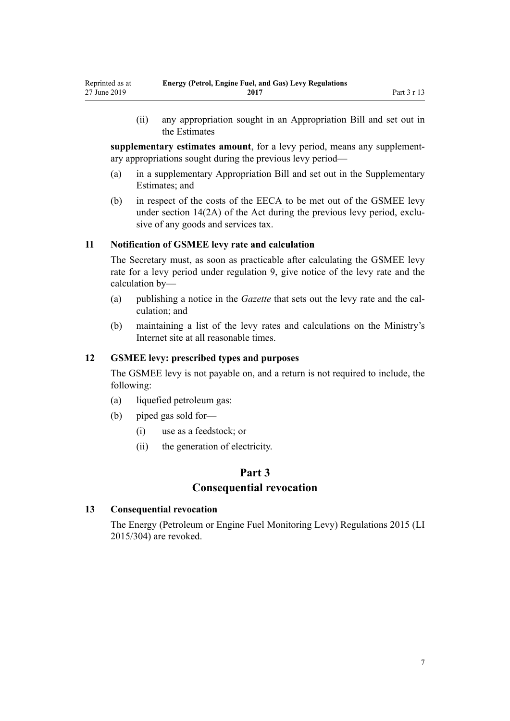(ii) any appropriation sought in an Appropriation Bill and set out in the Estimates

**supplementary estimates amount**, for a levy period, means any supplementary appropriations sought during the previous levy period—

- (a) in a supplementary Appropriation Bill and set out in the Supplementary Estimates; and
- (b) in respect of the costs of the EECA to be met out of the GSMEE levy under [section 14\(2A\)](http://legislation.govt.nz/pdflink.aspx?id=DLM194794) of the Act during the previous levy period, exclusive of any goods and services tax.

#### **11 Notification of GSMEE levy rate and calculation**

The Secretary must, as soon as practicable after calculating the GSMEE levy rate for a levy period under [regulation 9](#page-4-0), give notice of the levy rate and the calculation by—

- (a) publishing a notice in the *Gazette* that sets out the levy rate and the calculation; and
- (b) maintaining a list of the levy rates and calculations on the Ministry's Internet site at all reasonable times.

#### **12 GSMEE levy: prescribed types and purposes**

The GSMEE levy is not payable on, and a return is not required to include, the following:

- (a) liquefied petroleum gas:
- (b) piped gas sold for—

<span id="page-6-0"></span>Reprinted as at 27 June 2019

- (i) use as a feedstock; or
- (ii) the generation of electricity.

# **Part 3**

# **Consequential revocation**

#### **13 Consequential revocation**

The [Energy \(Petroleum or Engine Fuel Monitoring Levy\) Regulations 2015](http://legislation.govt.nz/pdflink.aspx?id=DLM6663200) (LI 2015/304) are revoked.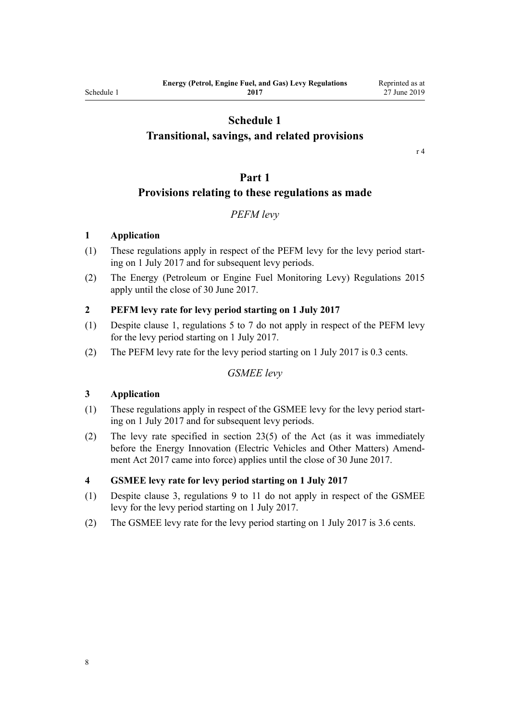# **Schedule 1**

# <span id="page-7-0"></span>**Transitional, savings, and related provisions**

[r 4](#page-2-0)

## **Part 1**

## **Provisions relating to these regulations as made**

# *PEFM levy*

#### **1 Application**

- (1) These regulations apply in respect of the PEFM levy for the levy period starting on 1 July 2017 and for subsequent levy periods.
- (2) The [Energy \(Petroleum or Engine Fuel Monitoring Levy\) Regulations 2015](http://legislation.govt.nz/pdflink.aspx?id=DLM6663200) apply until the close of 30 June 2017.

#### **2 PEFM levy rate for levy period starting on 1 July 2017**

- (1) Despite clause 1, [regulations 5 to 7](#page-2-0) do not apply in respect of the PEFM levy for the levy period starting on 1 July 2017.
- (2) The PEFM levy rate for the levy period starting on 1 July 2017 is 0.3 cents.

# *GSMEE levy*

#### **3 Application**

- (1) These regulations apply in respect of the GSMEE levy for the levy period starting on 1 July 2017 and for subsequent levy periods.
- (2) The levy rate specified in [section 23\(5\)](http://legislation.govt.nz/pdflink.aspx?id=DLM195026) of the Act (as it was immediately before the [Energy Innovation \(Electric Vehicles and Other Matters\) Amend](http://legislation.govt.nz/pdflink.aspx?id=DLM7005004)[ment Act 2017](http://legislation.govt.nz/pdflink.aspx?id=DLM7005004) came into force) applies until the close of 30 June 2017.

#### **4 GSMEE levy rate for levy period starting on 1 July 2017**

- (1) Despite clause 3, [regulations 9 to 11](#page-4-0) do not apply in respect of the GSMEE levy for the levy period starting on 1 July 2017.
- (2) The GSMEE levy rate for the levy period starting on 1 July 2017 is 3.6 cents.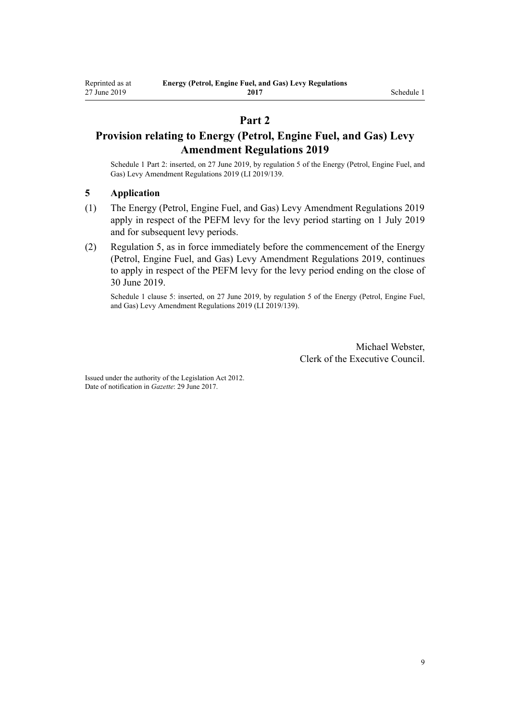# **Part 2**

# **Provision relating to Energy (Petrol, Engine Fuel, and Gas) Levy Amendment Regulations 2019**

Schedule 1 Part 2: inserted, on 27 June 2019, by [regulation 5](http://legislation.govt.nz/pdflink.aspx?id=LMS212388) of the Energy (Petrol, Engine Fuel, and Gas) Levy Amendment Regulations 2019 (LI 2019/139.

#### **5 Application**

- (1) The [Energy \(Petrol, Engine Fuel, and Gas\) Levy Amendment Regulations 2019](http://legislation.govt.nz/pdflink.aspx?id=LMS212380) apply in respect of the PEFM levy for the levy period starting on 1 July 2019 and for subsequent levy periods.
- (2) [Regulation 5,](#page-2-0) as in force immediately before the commencement of the [Energy](http://legislation.govt.nz/pdflink.aspx?id=LMS212380) [\(Petrol, Engine Fuel, and Gas\) Levy Amendment Regulations 2019](http://legislation.govt.nz/pdflink.aspx?id=LMS212380), continues to apply in respect of the PEFM levy for the levy period ending on the close of 30 June 2019.

Schedule 1 clause 5: inserted, on 27 June 2019, by [regulation 5](http://legislation.govt.nz/pdflink.aspx?id=LMS212388) of the Energy (Petrol, Engine Fuel, and Gas) Levy Amendment Regulations 2019 (LI 2019/139).

> Michael Webster, Clerk of the Executive Council.

Issued under the authority of the [Legislation Act 2012](http://legislation.govt.nz/pdflink.aspx?id=DLM2997643). Date of notification in *Gazette*: 29 June 2017.